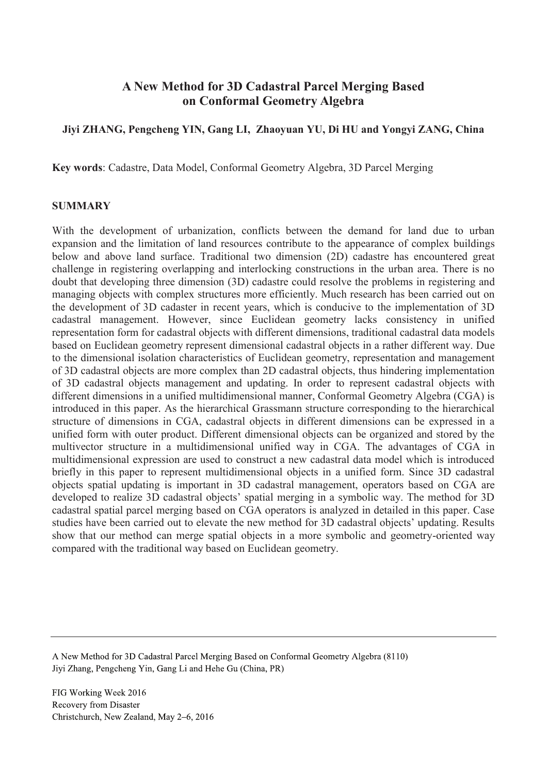# **A New Method for 3D Cadastral Parcel Merging Based on Conformal Geometry Algebra**

# **Jiyi ZHANG, Pengcheng YIN, Gang LI, Zhaoyuan YU, Di HU and Yongyi ZANG, China**

**Key words**: Cadastre, Data Model, Conformal Geometry Algebra, 3D Parcel Merging

#### **SUMMARY**

With the development of urbanization, conflicts between the demand for land due to urban expansion and the limitation of land resources contribute to the appearance of complex buildings below and above land surface. Traditional two dimension (2D) cadastre has encountered great challenge in registering overlapping and interlocking constructions in the urban area. There is no doubt that developing three dimension (3D) cadastre could resolve the problems in registering and managing objects with complex structures more efficiently. Much research has been carried out on the development of 3D cadaster in recent years, which is conducive to the implementation of 3D cadastral management. However, since Euclidean geometry lacks consistency in unified representation form for cadastral objects with different dimensions, traditional cadastral data models based on Euclidean geometry represent dimensional cadastral objects in a rather different way. Due to the dimensional isolation characteristics of Euclidean geometry, representation and management of 3D cadastral objects are more complex than 2D cadastral objects, thus hindering implementation of 3D cadastral objects management and updating. In order to represent cadastral objects with different dimensions in a unified multidimensional manner, Conformal Geometry Algebra (CGA) is introduced in this paper. As the hierarchical Grassmann structure corresponding to the hierarchical structure of dimensions in CGA, cadastral objects in different dimensions can be expressed in a unified form with outer product. Different dimensional objects can be organized and stored by the multivector structure in a multidimensional unified way in CGA. The advantages of CGA in multidimensional expression are used to construct a new cadastral data model which is introduced briefly in this paper to represent multidimensional objects in a unified form. Since 3D cadastral objects spatial updating is important in 3D cadastral management, operators based on CGA are developed to realize 3D cadastral objects' spatial merging in a symbolic way. The method for 3D cadastral spatial parcel merging based on CGA operators is analyzed in detailed in this paper. Case studies have been carried out to elevate the new method for 3D cadastral objects' updating. Results show that our method can merge spatial objects in a more symbolic and geometry-oriented way compared with the traditional way based on Euclidean geometry.

A New Method for 3D Cadastral Parcel Merging Based on Conformal Geometry Algebra (8110) Jiyi Zhang, Pengcheng Yin, Gang Li and Hehe Gu (China, PR)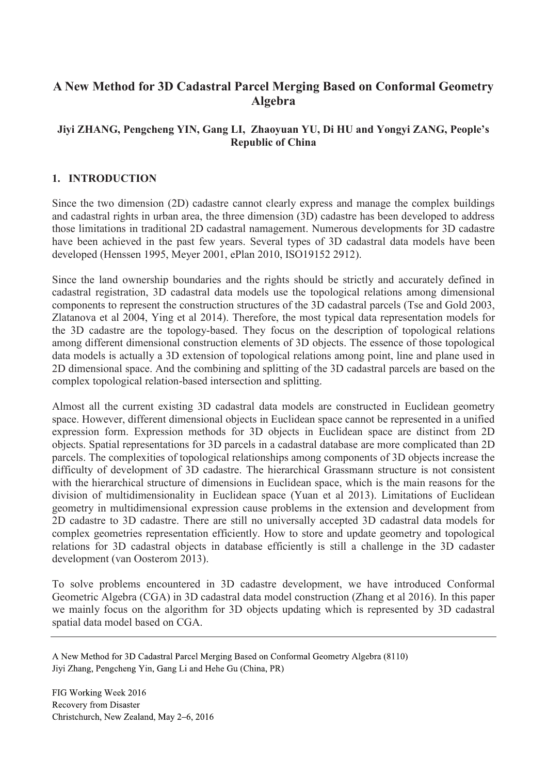# **A New Method for 3D Cadastral Parcel Merging Based on Conformal Geometry Algebra**

# **Jiyi ZHANG, Pengcheng YIN, Gang LI, Zhaoyuan YU, Di HU and Yongyi ZANG, People's Republic of China**

### **1. INTRODUCTION**

Since the two dimension (2D) cadastre cannot clearly express and manage the complex buildings and cadastral rights in urban area, the three dimension (3D) cadastre has been developed to address those limitations in traditional 2D cadastral namagement. Numerous developments for 3D cadastre have been achieved in the past few years. Several types of 3D cadastral data models have been developed (Henssen 1995, Meyer 2001, ePlan 2010, ISO19152 2912).

Since the land ownership boundaries and the rights should be strictly and accurately defined in cadastral registration, 3D cadastral data models use the topological relations among dimensional components to represent the construction structures of the 3D cadastral parcels (Tse and Gold 2003, Zlatanova et al 2004, Ying et al 2014). Therefore, the most typical data representation models for the 3D cadastre are the topology-based. They focus on the description of topological relations among different dimensional construction elements of 3D objects. The essence of those topological data models is actually a 3D extension of topological relations among point, line and plane used in 2D dimensional space. And the combining and splitting of the 3D cadastral parcels are based on the complex topological relation-based intersection and splitting.

Almost all the current existing 3D cadastral data models are constructed in Euclidean geometry space. However, different dimensional objects in Euclidean space cannot be represented in a unified expression form. Expression methods for 3D objects in Euclidean space are distinct from 2D objects. Spatial representations for 3D parcels in a cadastral database are more complicated than 2D parcels. The complexities of topological relationships among components of 3D objects increase the difficulty of development of 3D cadastre. The hierarchical Grassmann structure is not consistent with the hierarchical structure of dimensions in Euclidean space, which is the main reasons for the division of multidimensionality in Euclidean space (Yuan et al 2013). Limitations of Euclidean geometry in multidimensional expression cause problems in the extension and development from 2D cadastre to 3D cadastre. There are still no universally accepted 3D cadastral data models for complex geometries representation efficiently. How to store and update geometry and topological relations for 3D cadastral objects in database efficiently is still a challenge in the 3D cadaster development (van Oosterom 2013).

To solve problems encountered in 3D cadastre development, we have introduced Conformal Geometric Algebra (CGA) in 3D cadastral data model construction (Zhang et al 2016). In this paper we mainly focus on the algorithm for 3D objects updating which is represented by 3D cadastral spatial data model based on CGA.

A New Method for 3D Cadastral Parcel Merging Based on Conformal Geometry Algebra (8110) Jiyi Zhang, Pengcheng Yin, Gang Li and Hehe Gu (China, PR)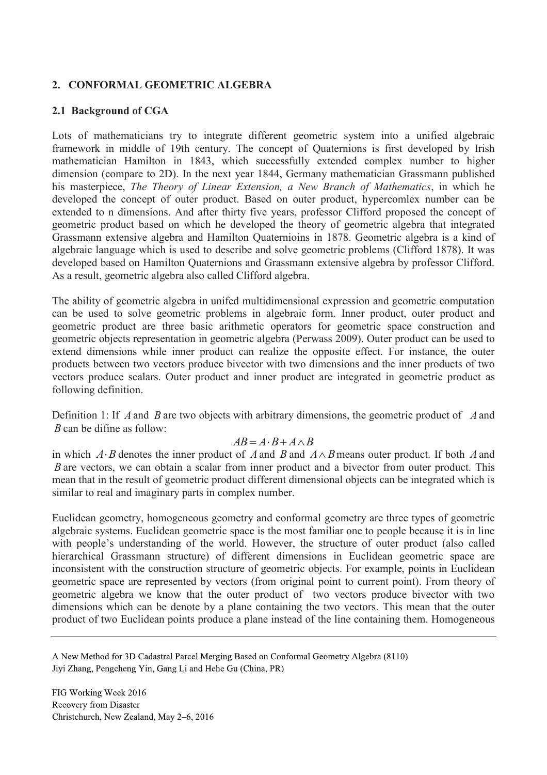# **2. CONFORMAL GEOMETRIC ALGEBRA**

# **2.1 Background of CGA**

Lots of mathematicians try to integrate different geometric system into a unified algebraic framework in middle of 19th century. The concept of Quaternions is first developed by Irish mathematician Hamilton in 1843, which successfully extended complex number to higher dimension (compare to 2D). In the next year 1844, Germany mathematician Grassmann published his masterpiece, *The Theory of Linear Extension, a New Branch of Mathematics*, in which he developed the concept of outer product. Based on outer product, hypercomlex number can be extended to n dimensions. And after thirty five years, professor Clifford proposed the concept of geometric product based on which he developed the theory of geometric algebra that integrated Grassmann extensive algebra and Hamilton Quaternioins in 1878. Geometric algebra is a kind of algebraic language which is used to describe and solve geometric problems (Clifford 1878). It was developed based on Hamilton Quaternions and Grassmann extensive algebra by professor Clifford. As a result, geometric algebra also called Clifford algebra.

The ability of geometric algebra in unifed multidimensional expression and geometric computation can be used to solve geometric problems in algebraic form. Inner product, outer product and geometric product are three basic arithmetic operators for geometric space construction and geometric objects representation in geometric algebra (Perwass 2009). Outer product can be used to extend dimensions while inner product can realize the opposite effect. For instance, the outer products between two vectors produce bivector with two dimensions and the inner products of two vectors produce scalars. Outer product and inner product are integrated in geometric product as following definition.

Definition 1: If *A*and *B* are two objects with arbitrary dimensions, the geometric product of *A*and *B* can be difine as follow:

# $AB = A \cdot B + A \wedge B$

in which  $A \cdot B$  denotes the inner product of *A* and *B* and  $A \wedge B$  means outer product. If both *A* and *B* are vectors, we can obtain a scalar from inner product and a bivector from outer product. This mean that in the result of geometric product different dimensional objects can be integrated which is similar to real and imaginary parts in complex number.

Euclidean geometry, homogeneous geometry and conformal geometry are three types of geometric algebraic systems. Euclidean geometric space is the most familiar one to people because it is in line with people's understanding of the world. However, the structure of outer product (also called hierarchical Grassmann structure) of different dimensions in Euclidean geometric space are inconsistent with the construction structure of geometric objects. For example, points in Euclidean geometric space are represented by vectors (from original point to current point). From theory of geometric algebra we know that the outer product of two vectors produce bivector with two dimensions which can be denote by a plane containing the two vectors. This mean that the outer product of two Euclidean points produce a plane instead of the line containing them. Homogeneous

A New Method for 3D Cadastral Parcel Merging Based on Conformal Geometry Algebra (8110) Jiyi Zhang, Pengcheng Yin, Gang Li and Hehe Gu (China, PR)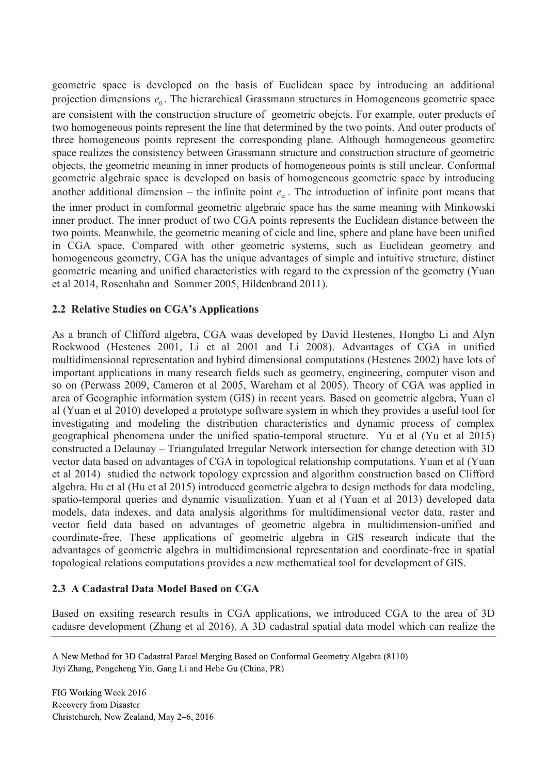geometric space is developed on the basis of Euclidean space by introducing an additional projection dimensions  $e_0$ . The hierarchical Grassmann structures in Homogeneous geometric space are consistent with the construction structure of geometric obejcts. For example, outer products of two homogeneous points represent the line that determined by the two points. And outer products of three homogeneous points represent the corresponding plane. Although homogeneous geometirc space realizes the consistency between Grassmann structure and construction structure of geometric objects, the geometric meaning in inner products of homogeneous points is still unclear. Conformal geometric algebraic space is developed on basis of homogeneous geometric space by introducing another additional dimension – the infinite point  $e_{\infty}$ . The introduction of infinite pont means that the inner product in comformal geometric algebraic space has the same meaning with Minkowski inner product. The inner product of two CGA points represents the Euclidean distance between the two points. Meanwhile, the geometric meaning of cicle and line, sphere and plane have been unified in CGA space. Compared with other geometric systems, such as Euclidean geometry and homogeneous geometry, CGA has the unique advantages of simple and intuitive structure, distinct geometric meaning and unified characteristics with regard to the expression of the geometry (Yuan et al 2014, Rosenhahn and Sommer 2005, Hildenbrand 2011).

# **2.2 Relative Studies on CGA's Applications**

As a branch of Clifford algebra, CGA waas developed by David Hestenes, Hongbo Li and Alyn Rockwood (Hestenes 2001, Li et al 2001 and Li 2008). Advantages of CGA in unified multidimensional representation and hybird dimensional computations (Hestenes 2002) have lots of important applications in many research fields such as geometry, engineering, computer vison and so on (Perwass 2009, Cameron et al 2005, Wareham et al 2005). Theory of CGA was applied in area of Geographic information system (GIS) in recent years. Based on geometric algebra, Yuan el al (Yuan et al 2010) developed a prototype software system in which they provides a useful tool for investigating and modeling the distribution characteristics and dynamic process of complex geographical phenomena under the unified spatio-temporal structure. Yu et al (Yu et al 2015) constructed a Delaunay – Triangulated Irregular Network intersection for change detection with 3D vector data based on advantages of CGA in topological relationship computations. Yuan et al (Yuan et al 2014) studied the network topology expression and algorithm construction based on Clifford algebra. Hu et al (Hu et al 2015) introduced geometric algebra to design methods for data modeling, spatio-temporal queries and dynamic visualization. Yuan et al (Yuan et al 2013) developed data models, data indexes, and data analysis algorithms for multidimensional vector data, raster and vector field data based on advantages of geometric algebra in multidimension-unified and coordinate-free. These applications of geometric algebra in GIS research indicate that the advantages of geometric algebra in multidimensional representation and coordinate-free in spatial topological relations computations provides a new methematical tool for development of GIS.

# **2.3 A Cadastral Data Model Based on CGA**

Based on exsiting research results in CGA applications, we introduced CGA to the area of 3D cadasre development (Zhang et al 2016). A 3D cadastral spatial data model which can realize the

A New Method for 3D Cadastral Parcel Merging Based on Conformal Geometry Algebra (8110) Jiyi Zhang, Pengcheng Yin, Gang Li and Hehe Gu (China, PR)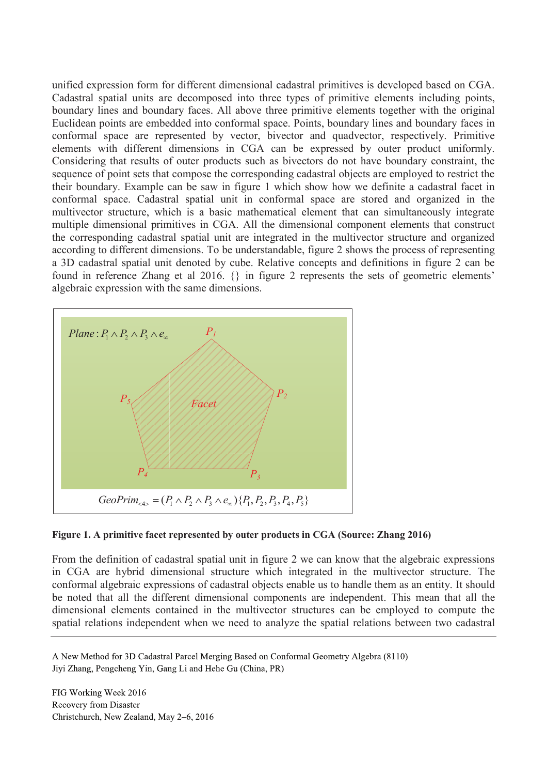unified expression form for different dimensional cadastral primitives is developed based on CGA. Cadastral spatial units are decomposed into three types of primitive elements including points, boundary lines and boundary faces. All above three primitive elements together with the original Euclidean points are embedded into conformal space. Points, boundary lines and boundary faces in conformal space are represented by vector, bivector and quadvector, respectively. Primitive elements with different dimensions in CGA can be expressed by outer product uniformly. Considering that results of outer products such as bivectors do not have boundary constraint, the sequence of point sets that compose the corresponding cadastral objects are employed to restrict the their boundary. Example can be saw in figure 1 which show how we definite a cadastral facet in conformal space. Cadastral spatial unit in conformal space are stored and organized in the multivector structure, which is a basic mathematical element that can simultaneously integrate multiple dimensional primitives in CGA. All the dimensional component elements that construct the corresponding cadastral spatial unit are integrated in the multivector structure and organized according to different dimensions. To be understandable, figure 2 shows the process of representing a 3D cadastral spatial unit denoted by cube. Relative concepts and definitions in figure 2 can be found in reference Zhang et al 2016. {} in figure 2 represents the sets of geometric elements' algebraic expression with the same dimensions.



#### **Figure 1. A primitive facet represented by outer products in CGA (Source: Zhang 2016)**

From the definition of cadastral spatial unit in figure 2 we can know that the algebraic expressions in CGA are hybrid dimensional structure which integrated in the multivector structure. The conformal algebraic expressions of cadastral objects enable us to handle them as an entity. It should be noted that all the different dimensional components are independent. This mean that all the dimensional elements contained in the multivector structures can be employed to compute the spatial relations independent when we need to analyze the spatial relations between two cadastral

A New Method for 3D Cadastral Parcel Merging Based on Conformal Geometry Algebra (8110) Jiyi Zhang, Pengcheng Yin, Gang Li and Hehe Gu (China, PR)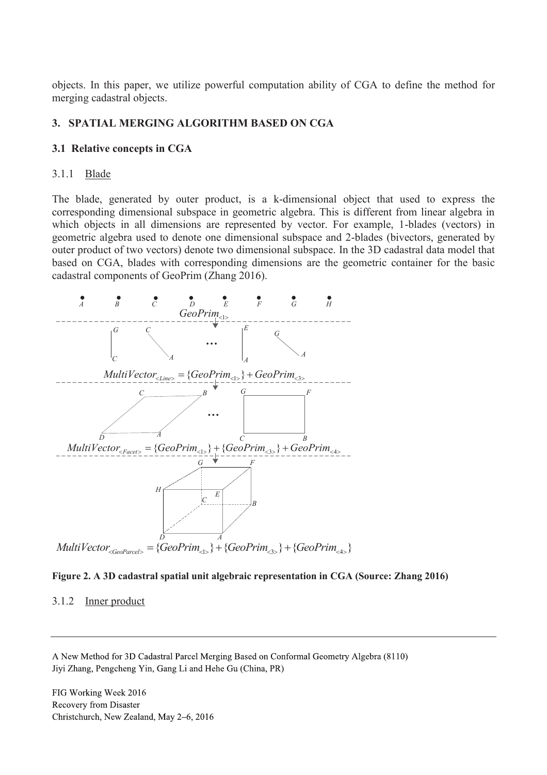objects. In this paper, we utilize powerful computation ability of CGA to define the method for merging cadastral objects.

# **3. SPATIAL MERGING ALGORITHM BASED ON CGA**

### **3.1 Relative concepts in CGA**

#### 3.1.1 Blade

The blade, generated by outer product, is a k-dimensional object that used to express the corresponding dimensional subspace in geometric algebra. This is different from linear algebra in which objects in all dimensions are represented by vector. For example, 1-blades (vectors) in geometric algebra used to denote one dimensional subspace and 2-blades (bivectors, generated by outer product of two vectors) denote two dimensional subspace. In the 3D cadastral data model that based on CGA, blades with corresponding dimensions are the geometric container for the basic cadastral components of GeoPrim (Zhang 2016).





#### 3.1.2 Inner product

A New Method for 3D Cadastral Parcel Merging Based on Conformal Geometry Algebra (8110) Jiyi Zhang, Pengcheng Yin, Gang Li and Hehe Gu (China, PR)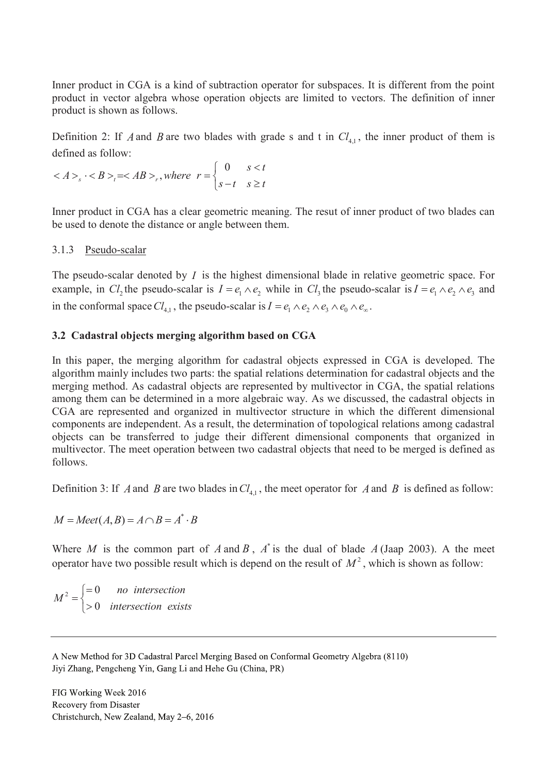Inner product in CGA is a kind of subtraction operator for subspaces. It is different from the point product in vector algebra whose operation objects are limited to vectors. The definition of inner product is shown as follows.

Definition 2: If *A* and *B* are two blades with grade s and t in  $Cl_{4,1}$ , the inner product of them is defined as follow:

$$
\langle A \rangle_s \cdot \langle B \rangle_t = \langle AB \rangle_t, \text{ where } r = \begin{cases} 0 & s < t \\ s - t & s \ge t \end{cases}
$$

Inner product in CGA has a clear geometric meaning. The resut of inner product of two blades can be used to denote the distance or angle between them.

# 3.1.3 Pseudo-scalar

The pseudo-scalar denoted by *I* is the highest dimensional blade in relative geometric space. For example, in  $Cl_2$  the pseudo-scalar is  $I = e_1 \wedge e_2$  while in  $Cl_3$  the pseudo-scalar is  $I = e_1 \wedge e_2 \wedge e_3$  and in the conformal space  $Cl_{4,1}$ , the pseudo-scalar is  $I = e_1 \wedge e_2 \wedge e_3 \wedge e_0 \wedge e_{\infty}$ .

### **3.2 Cadastral objects merging algorithm based on CGA**

In this paper, the merging algorithm for cadastral objects expressed in CGA is developed. The algorithm mainly includes two parts: the spatial relations determination for cadastral objects and the merging method. As cadastral objects are represented by multivector in CGA, the spatial relations among them can be determined in a more algebraic way. As we discussed, the cadastral objects in CGA are represented and organized in multivector structure in which the different dimensional components are independent. As a result, the determination of topological relations among cadastral objects can be transferred to judge their different dimensional components that organized in multivector. The meet operation between two cadastral objects that need to be merged is defined as follows.

Definition 3: If *A* and *B* are two blades in  $Cl_{4,1}$ , the meet operator for *A* and *B* is defined as follow:

 $M = Meet(A, B) = A \cap B = A^* \cdot B$ 

Where *M* is the common part of *A* and *B*,  $A^*$  is the dual of blade  $A$  (Jaap 2003). A the meet operator have two possible result which is depend on the result of  $M^2$ , which is shown as follow:

 $\frac{1}{2}$   $\int$  = 0 0 *no intersection M intersection exists*  $\left( =\right)$  $=\left\{$  $\vert$ 

A New Method for 3D Cadastral Parcel Merging Based on Conformal Geometry Algebra (8110) Jiyi Zhang, Pengcheng Yin, Gang Li and Hehe Gu (China, PR)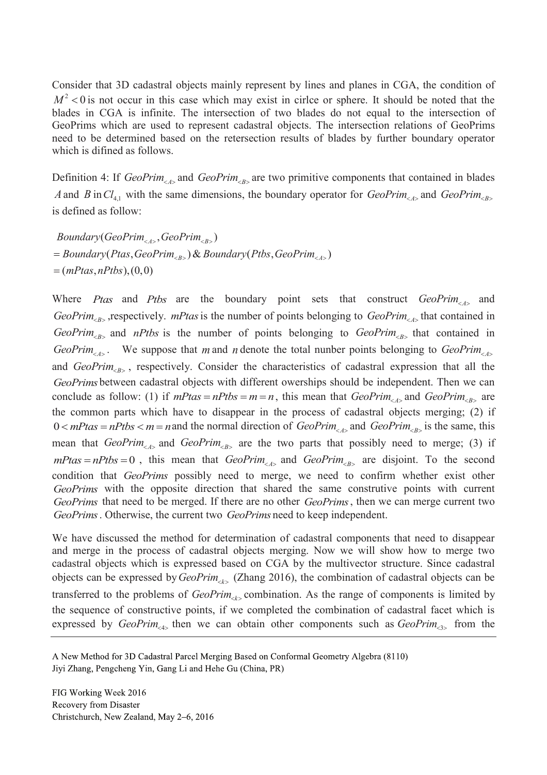Consider that 3D cadastral objects mainly represent by lines and planes in CGA, the condition of  $M^2$  < 0 is not occur in this case which may exist in cirlce or sphere. It should be noted that the blades in CGA is infinite. The intersection of two blades do not equal to the intersection of GeoPrims which are used to represent cadastral objects. The intersection relations of GeoPrims need to be determined based on the retersection results of blades by further boundary operator which is difined as follows.

Definition 4: If *GeoPrim*<sub><*A*></sub> and *GeoPrim*<sub><*B*></sub> are two primitive components that contained in blades *A* and *B* in  $Cl_{4,1}$  with the same dimensions, the boundary operator for *GeoPrim*<sub><*A*></sub> and *GeoPrim*<sub><*B*></sub> is defined as follow:

 $Boundary(GeoPrim_{\langle A \rangle}, GeoPrim_{\langle B \rangle})$  $=$  *Boundary*(Ptas, GeoPrim<sub> $\langle B \rangle$ ) & Boundary(Ptbs, GeoPrim $\langle A \rangle$ )</sub>  $=(mPtas, nPtbs), (0,0)$ 

Where *Ptas* and *Ptbs* are the boundary point sets that construct *GeoPrim*<sub><A></sub> and *GeoPrim*<sub><B></sub>, respectively. *mPtas* is the number of points belonging to *GeoPrim*<sub><d></sub> that contained in  $GeoPrim_{B>}$  and *nPtbs* is the number of points belonging to  $GeoPrim_{B>}$  that contained in *GeoPrim*<sub><A></sub>. We suppose that *m* and *n* denote the total nunber points belonging to *GeoPrim*<sub><A></sub> and *GeoPrim*<sub><B></sub>, respectively. Consider the characteristics of cadastral expression that all the *GeoPrims* between cadastral objects with different owerships should be independent. Then we can conclude as follow: (1) if  $mPtas = nPtbs = m = n$ , this mean that  $GeoPrim_{\leq A>}$  and  $GeoPrim_{\leq B>}$  are the common parts which have to disappear in the process of cadastral objects merging; (2) if  $0 < mP$  tas =  $nP$  tbs <  $m = n$  and the normal direction of *GeoPrim*<sub><*A*></sub> and *GeoPrim*<sub><*B*> is the same, this</sub> mean that *GeoPrim*<sub> $\langle A \rangle$ </sub> and *GeoPrim*<sub> $\langle B \rangle$ </sub> are the two parts that possibly need to merge; (3) if  $mP$ tas =  $nP$ tbs = 0, this mean that *GeoPrim*<sub><*A*></sub> and *GeoPrim<sub><B></sub>* are disjoint. To the second condition that *GeoPrims* possibly need to merge, we need to confirm whether exist other *GeoPrims* with the opposite direction that shared the same construtive points with current *GeoPrims* that need to be merged. If there are no other *GeoPrims*, then we can merge current two *GeoPrims*. Otherwise, the current two *GeoPrims* need to keep independent.

We have discussed the method for determination of cadastral components that need to disappear and merge in the process of cadastral objects merging. Now we will show how to merge two cadastral objects which is expressed based on CGA by the multivector structure. Since cadastral objects can be expressed by *GeoPrim*<sub><*k*></sub> (Zhang 2016), the combination of cadastral objects can be transferred to the problems of *GeoPrim*<sub> $\langle k \rangle$ </sub> combination. As the range of components is limited by the sequence of constructive points, if we completed the combination of cadastral facet which is expressed by  $GeoPrim_{\leq 4}$ , then we can obtain other components such as  $GeoPrim_{\leq 3}$  from the

A New Method for 3D Cadastral Parcel Merging Based on Conformal Geometry Algebra (8110) Jiyi Zhang, Pengcheng Yin, Gang Li and Hehe Gu (China, PR)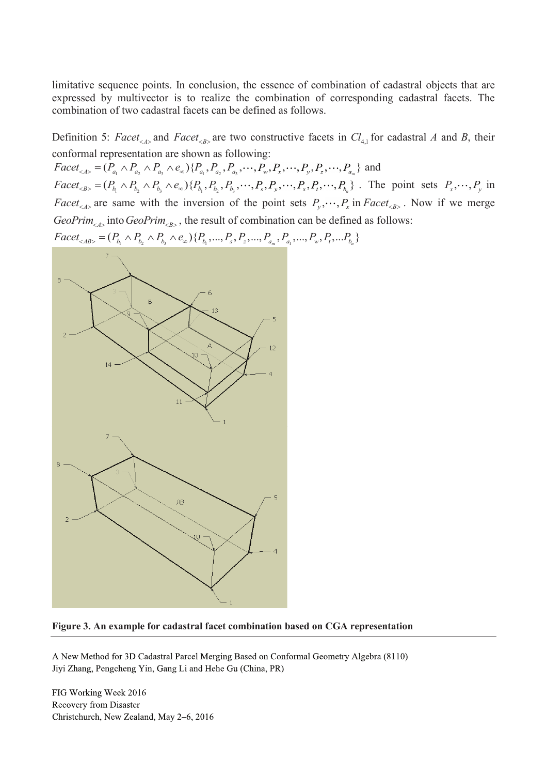limitative sequence points. In conclusion, the essence of combination of cadastral objects that are expressed by multivector is to realize the combination of corresponding cadastral facets. The combination of two cadastral facets can be defined as follows.

Definition 5: *Facet*<sub><*A*></sub> and *Facet*<sub><*B*></sub> are two constructive facets in  $Cl_{4,1}$  for cadastral *A* and *B*, their conformal representation are shown as following:

 $Face_{a,b} = (P_{a_1} \wedge P_{a_2} \wedge P_{a_3} \wedge e_{\infty}) \{P_{a_1}, P_{a_2}, P_{a_3}, \dots, P_{w} \wedge P_{w} \dots \wedge P_{w} \wedge P_{w} \dots \wedge P_{w} \}$  and  $Face_{\langle B \rangle} = (P_{b_1} \wedge P_{b_2} \wedge P_{b_3} \wedge e_{\infty}) \{P_{b_1}, P_{b_2}, P_{b_3}, \dots, P_{s}, P_{s'}, \dots, P_{s'}, P_{s'}, \dots, P_{b_n} \}$ . The point sets  $P_{x}, \dots, P_{y}$  in *Facet<sub><A></sub>* are same with the inversion of the point sets  $P_y$ ,  $\cdots$   $P_x$  in *Facet<sub><B></sub>*. Now if we merge  $GeoPrim_{< A>}$  into  $GeoPrim_{< B>}$ , the result of combination can be defined as follows:



#### **Figure 3. An example for cadastral facet combination based on CGA representation**

A New Method for 3D Cadastral Parcel Merging Based on Conformal Geometry Algebra (8110) Jiyi Zhang, Pengcheng Yin, Gang Li and Hehe Gu (China, PR)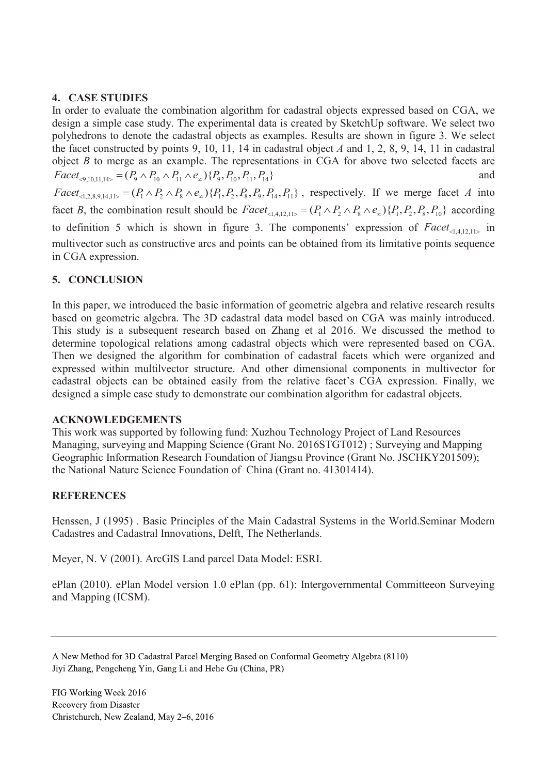# **4. CASE STUDIES**

In order to evaluate the combination algorithm for cadastral objects expressed based on CGA, we design a simple case study. The experimental data is created by SketchUp software. We select two polyhedrons to denote the cadastral objects as examples. Results are shown in figure 3. We select the facet constructed by points 9, 10, 11, 14 in cadastral object *A* and 1, 2, 8, 9, 14, 11 in cadastral object *B* to merge as an example. The representations in CGA for above two selected facets are  $Facet_{\leq 9,10,11,14>} = (P_9 \wedge P_{10} \wedge P_{11} \wedge e_{\infty}) \{P_9, P_{10}, P_{11}, P_{14}\}$  and  $Face_{\leq 2.89\,14\,11>} = (P_1 \wedge P_2 \wedge P_8 \wedge e_{\infty}) \{P_1, P_2, P_8, P_9, P_{14}, P_{11}\}$ , respectively. If we merge facet *A* into facet *B*, the combination result should be  $Facet_{\leq |A|} = (P_1 \wedge P_2 \wedge P_3 \wedge e_{\infty}) \{P_1, P_2, P_3, P_{10}\}$  according to definition 5 which is shown in figure 3. The components' expression of  $Face_{\leq 14,12,11>1}$  in multivector such as constructive arcs and points can be obtained from its limitative points sequence in CGA expression.

# **5. CONCLUSION**

In this paper, we introduced the basic information of geometric algebra and relative research results based on geometric algebra. The 3D cadastral data model based on CGA was mainly introduced. This study is a subsequent research based on Zhang et al 2016. We discussed the method to determine topological relations among cadastral objects which were represented based on CGA. Then we designed the algorithm for combination of cadastral facets which were organized and expressed within multilvector structure. And other dimensional components in multivector for cadastral objects can be obtained easily from the relative facet's CGA expression. Finally, we designed a simple case study to demonstrate our combination algorithm for cadastral objects.

# **ACKNOWLEDGEMENTS**

This work was supported by following fund: Xuzhou Technology Project of Land Resources Managing, surveying and Mapping Science (Grant No. 2016STGT012) ; Surveying and Mapping Geographic Information Research Foundation of Jiangsu Province (Grant No. JSCHKY201509); the National Nature Science Foundation of China (Grant no. 41301414).

# **REFERENCES**

Henssen, J (1995) . Basic Principles of the Main Cadastral Systems in the World.Seminar Modern Cadastres and Cadastral Innovations, Delft, The Netherlands.

Meyer, N. V (2001). ArcGIS Land parcel Data Model: ESRI.

ePlan (2010). ePlan Model version 1.0 ePlan (pp. 61): Intergovernmental Committeeon Surveying and Mapping (ICSM).

A New Method for 3D Cadastral Parcel Merging Based on Conformal Geometry Algebra (8110) Jiyi Zhang, Pengcheng Yin, Gang Li and Hehe Gu (China, PR)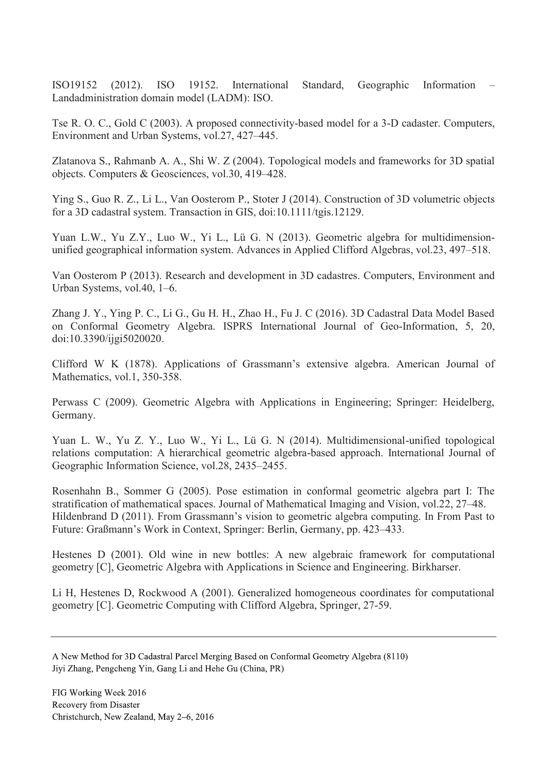ISO19152 (2012). ISO 19152. International Standard, Geographic Information – Landadministration domain model (LADM): ISO.

Tse R. O. C., Gold C (2003). A proposed connectivity-based model for a 3-D cadaster. Computers, Environment and Urban Systems, vol.27, 427–445.

Zlatanova S., Rahmanb A. A., Shi W. Z (2004). Topological models and frameworks for 3D spatial objects. Computers & Geosciences, vol.30, 419–428.

Ying S., Guo R. Z., Li L., Van Oosterom P., Stoter J (2014). Construction of 3D volumetric objects for a 3D cadastral system. Transaction in GIS, doi:10.1111/tgis.12129.

Yuan L.W., Yu Z.Y., Luo W., Yi L., Lü G. N (2013). Geometric algebra for multidimensionunified geographical information system. Advances in Applied Clifford Algebras, vol.23, 497–518.

Van Oosterom P (2013). Research and development in 3D cadastres. Computers, Environment and Urban Systems, vol.40, 1–6.

Zhang J. Y., Ying P. C., Li G., Gu H. H., Zhao H., Fu J. C (2016). 3D Cadastral Data Model Based on Conformal Geometry Algebra. ISPRS International Journal of Geo-Information, 5, 20, doi:10.3390/ijgi5020020.

Clifford W K (1878). Applications of Grassmann's extensive algebra. American Journal of Mathematics, vol.1, 350-358.

Perwass C (2009). Geometric Algebra with Applications in Engineering; Springer: Heidelberg, Germany.

Yuan L. W., Yu Z. Y., Luo W., Yi L., Lü G. N (2014). Multidimensional-unified topological relations computation: A hierarchical geometric algebra-based approach. International Journal of Geographic Information Science, vol.28, 2435–2455.

Rosenhahn B., Sommer G (2005). Pose estimation in conformal geometric algebra part I: The stratification of mathematical spaces. Journal of Mathematical Imaging and Vision, vol.22, 27–48. Hildenbrand D (2011). From Grassmann's vision to geometric algebra computing. In From Past to Future: Graßmann's Work in Context, Springer: Berlin, Germany, pp. 423–433.

Hestenes D (2001). Old wine in new bottles: A new algebraic framework for computational geometry [C], Geometric Algebra with Applications in Science and Engineering. Birkharser.

Li H, Hestenes D, Rockwood A (2001). Generalized homogeneous coordinates for computational geometry [C]. Geometric Computing with Clifford Algebra, Springer, 27-59.

A New Method for 3D Cadastral Parcel Merging Based on Conformal Geometry Algebra (8110) Jiyi Zhang, Pengcheng Yin, Gang Li and Hehe Gu (China, PR)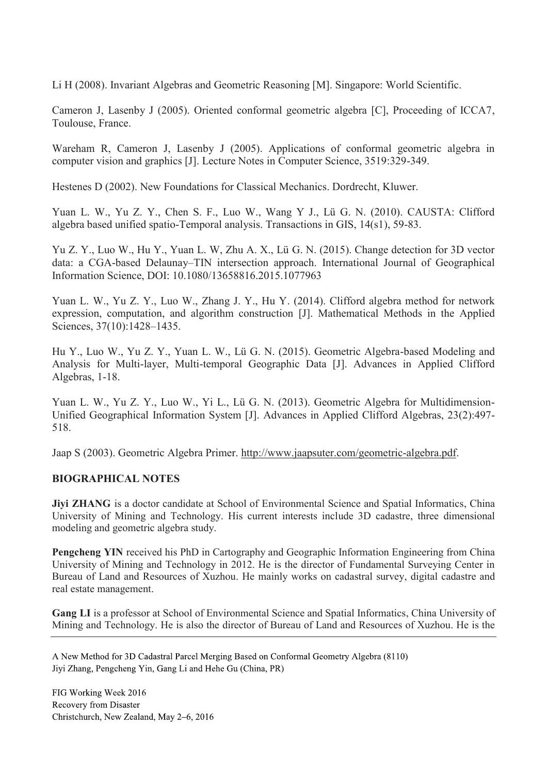Li H (2008). Invariant Algebras and Geometric Reasoning [M]. Singapore: World Scientific.

Cameron J, Lasenby J (2005). Oriented conformal geometric algebra [C], Proceeding of ICCA7, Toulouse, France.

Wareham R, Cameron J, Lasenby J (2005). Applications of conformal geometric algebra in computer vision and graphics [J]. Lecture Notes in Computer Science, 3519:329-349.

Hestenes D (2002). New Foundations for Classical Mechanics. Dordrecht, Kluwer.

Yuan L. W., Yu Z. Y., Chen S. F., Luo W., Wang Y J., Lü G. N. (2010). CAUSTA: Clifford algebra based unified spatio-Temporal analysis. Transactions in GIS, 14(s1), 59-83.

Yu Z. Y., Luo W., Hu Y., Yuan L. W, Zhu A. X., Lü G. N. (2015). Change detection for 3D vector data: a CGA-based Delaunay–TIN intersection approach. International Journal of Geographical Information Science, DOI: 10.1080/13658816.2015.1077963

Yuan L. W., Yu Z. Y., Luo W., Zhang J. Y., Hu Y. (2014). Clifford algebra method for network expression, computation, and algorithm construction [J]. Mathematical Methods in the Applied Sciences, 37(10):1428–1435.

Hu Y., Luo W., Yu Z. Y., Yuan L. W., Lü G. N. (2015). Geometric Algebra-based Modeling and Analysis for Multi-layer, Multi-temporal Geographic Data [J]. Advances in Applied Clifford Algebras, 1-18.

Yuan L. W., Yu Z. Y., Luo W., Yi L., Lü G. N. (2013). Geometric Algebra for Multidimension-Unified Geographical Information System [J]. Advances in Applied Clifford Algebras, 23(2):497- 518.

Jaap S (2003). Geometric Algebra Primer. http://www.jaapsuter.com/geometric-algebra.pdf.

# **BIOGRAPHICAL NOTES**

**Jiyi ZHANG** is a doctor candidate at School of Environmental Science and Spatial Informatics, China University of Mining and Technology. His current interests include 3D cadastre, three dimensional modeling and geometric algebra study.

**Pengcheng YIN** received his PhD in Cartography and Geographic Information Engineering from China University of Mining and Technology in 2012. He is the director of Fundamental Surveying Center in Bureau of Land and Resources of Xuzhou. He mainly works on cadastral survey, digital cadastre and real estate management.

**Gang LI** is a professor at School of Environmental Science and Spatial Informatics, China University of Mining and Technology. He is also the director of Bureau of Land and Resources of Xuzhou. He is the

A New Method for 3D Cadastral Parcel Merging Based on Conformal Geometry Algebra (8110) Jiyi Zhang, Pengcheng Yin, Gang Li and Hehe Gu (China, PR)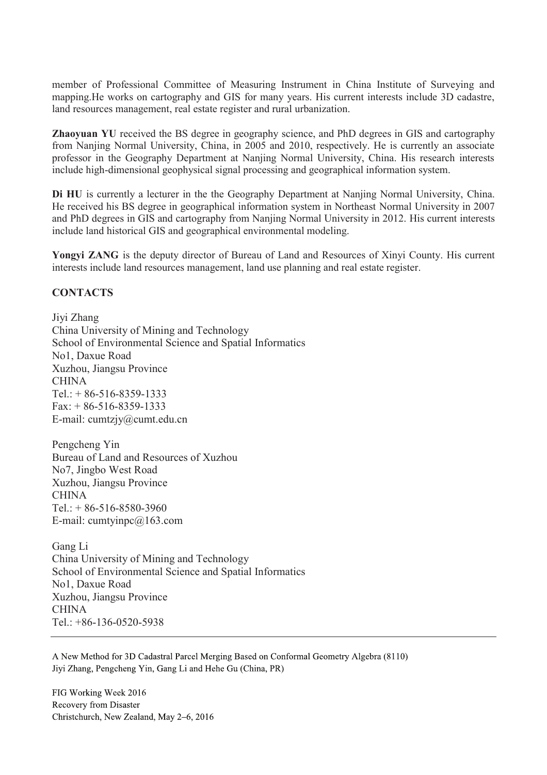member of Professional Committee of Measuring Instrument in China Institute of Surveying and mapping.He works on cartography and GIS for many years. His current interests include 3D cadastre, land resources management, real estate register and rural urbanization.

**Zhaoyuan YU** received the BS degree in geography science, and PhD degrees in GIS and cartography from Nanjing Normal University, China, in 2005 and 2010, respectively. He is currently an associate professor in the Geography Department at Nanjing Normal University, China. His research interests include high-dimensional geophysical signal processing and geographical information system.

**Di HU** is currently a lecturer in the the Geography Department at Nanjing Normal University, China. He received his BS degree in geographical information system in Northeast Normal University in 2007 and PhD degrees in GIS and cartography from Nanjing Normal University in 2012. His current interests include land historical GIS and geographical environmental modeling.

**Yongyi ZANG** is the deputy director of Bureau of Land and Resources of Xinyi County. His current interests include land resources management, land use planning and real estate register.

### **CONTACTS**

Jiyi Zhang China University of Mining and Technology School of Environmental Science and Spatial Informatics No1, Daxue Road Xuzhou, Jiangsu Province CHINA  $Tel: + 86-516-8359-1333$ Fax: + 86-516-8359-1333 E-mail: cumtzjy@cumt.edu.cn

Pengcheng Yin Bureau of Land and Resources of Xuzhou No7, Jingbo West Road Xuzhou, Jiangsu Province **CHINA** Tel.: + 86-516-8580-3960 E-mail: cumtyinpc@163.com

Gang Li China University of Mining and Technology School of Environmental Science and Spatial Informatics No1, Daxue Road Xuzhou, Jiangsu Province CHINA Tel.: +86-136-0520-5938

A New Method for 3D Cadastral Parcel Merging Based on Conformal Geometry Algebra (8110) Jiyi Zhang, Pengcheng Yin, Gang Li and Hehe Gu (China, PR)